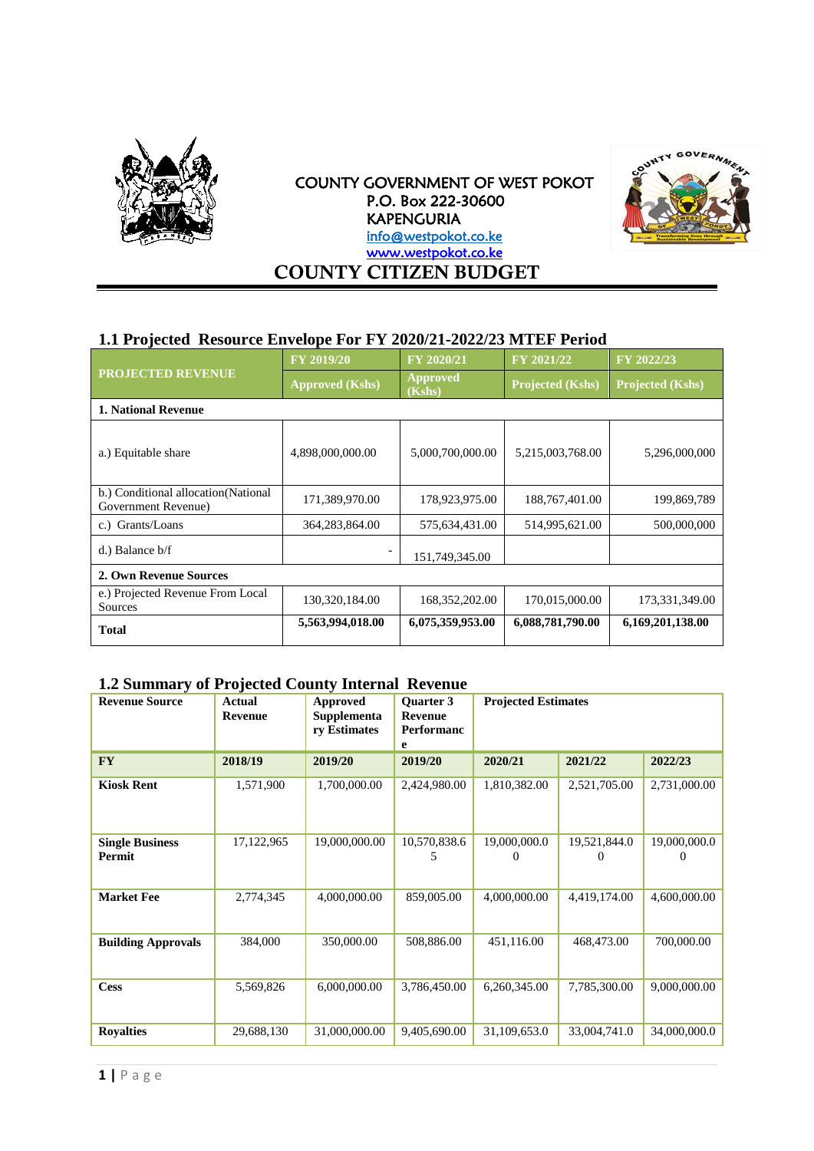

COUNTY GOVERNMENT OF WEST POKOT P.O. Box 222-30600 KAPENGURIA info@westpokot.co.ke [www.westpokot.co.ke](http://www.westpokot.co.ke/)  **COUNTY CITIZEN BUDGET**



### **1.1 Projected Resource Envelope For FY 2020/21-2022/23 MTEF Period**

|                                                             | <b>FY 2019/20</b>      | FY 2020/21                | FY 2021/22              | FY 2022/23              |  |  |
|-------------------------------------------------------------|------------------------|---------------------------|-------------------------|-------------------------|--|--|
| <b>PROJECTED REVENUE</b>                                    | <b>Approved (Kshs)</b> | <b>Approved</b><br>(Kshs) | <b>Projected (Kshs)</b> | <b>Projected (Kshs)</b> |  |  |
| <b>1. National Revenue</b>                                  |                        |                           |                         |                         |  |  |
| a.) Equitable share                                         | 4,898,000,000.00       | 5,000,700,000.00          | 5,215,003,768.00        | 5,296,000,000           |  |  |
| b.) Conditional allocation (National<br>Government Revenue) | 171,389,970.00         | 178,923,975.00            | 188, 767, 401.00        | 199,869,789             |  |  |
| c.) Grants/Loans                                            | 364,283,864.00         | 575,634,431.00            | 514,995,621.00          | 500,000,000             |  |  |
| d.) Balance b/f                                             |                        | 151,749,345.00            |                         |                         |  |  |
| 2. Own Revenue Sources                                      |                        |                           |                         |                         |  |  |
| e.) Projected Revenue From Local<br>Sources                 | 130,320,184.00         | 168, 352, 202.00          | 170,015,000.00          | 173,331,349.00          |  |  |
| <b>Total</b>                                                | 5,563,994,018.00       | 6,075,359,953.00          | 6,088,781,790.00        | 6,169,201,138.00        |  |  |

# **1.2 Summary of Projected County Internal Revenue**

| <b>Revenue Source</b>            | <b>Actual</b><br><b>Revenue</b> | Approved<br><b>Supplementa</b><br>ry Estimates | <b>Ouarter 3</b><br><b>Revenue</b><br><b>Performanc</b><br>e | <b>Projected Estimates</b> |                          |                                   |
|----------------------------------|---------------------------------|------------------------------------------------|--------------------------------------------------------------|----------------------------|--------------------------|-----------------------------------|
| <b>FY</b>                        | 2018/19                         | 2019/20                                        | 2019/20                                                      | 2020/21                    | 2021/22                  | 2022/23                           |
| <b>Kiosk Rent</b>                | 1,571,900                       | 1,700,000.00                                   | 2,424,980.00                                                 | 1,810,382.00               | 2,521,705.00             | 2,731,000.00                      |
| <b>Single Business</b><br>Permit | 17,122,965                      | 19,000,000.00                                  | 10,570,838.6<br>5                                            | 19,000,000.0<br>0          | 19,521,844.0<br>$\Omega$ | 19,000,000.0<br>$\mathbf{\Omega}$ |
| <b>Market Fee</b>                | 2,774,345                       | 4,000,000.00                                   | 859,005.00                                                   | 4,000,000.00               | 4,419,174.00             | 4,600,000.00                      |
| <b>Building Approvals</b>        | 384,000                         | 350,000.00                                     | 508,886.00                                                   | 451,116.00                 | 468,473.00               | 700,000.00                        |
| <b>Cess</b>                      | 5,569,826                       | 6,000,000.00                                   | 3,786,450.00                                                 | 6,260,345.00               | 7,785,300.00             | 9,000,000.00                      |
| <b>Royalties</b>                 | 29,688,130                      | 31,000,000.00                                  | 9,405,690.00                                                 | 31,109,653.0               | 33,004,741.0             | 34,000,000.0                      |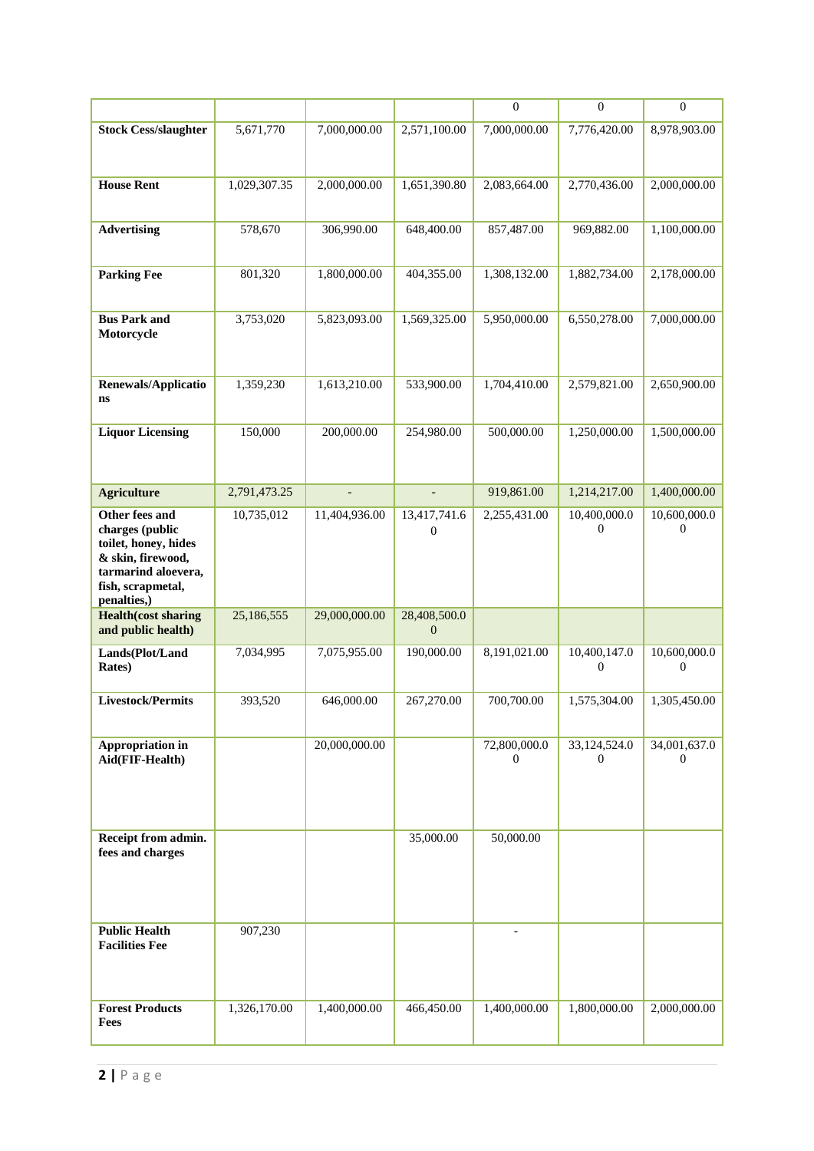|                                           |              |                          |                | $\boldsymbol{0}$ | $\boldsymbol{0}$ | $\mathbf{0}$      |
|-------------------------------------------|--------------|--------------------------|----------------|------------------|------------------|-------------------|
| <b>Stock Cess/slaughter</b>               | 5,671,770    | 7,000,000.00             | 2,571,100.00   | 7,000,000.00     | 7,776,420.00     | 8,978,903.00      |
|                                           |              |                          |                |                  |                  |                   |
|                                           |              |                          |                |                  |                  |                   |
| <b>House Rent</b>                         | 1,029,307.35 | 2,000,000.00             | 1,651,390.80   | 2,083,664.00     | 2,770,436.00     | 2,000,000.00      |
|                                           |              |                          |                |                  |                  |                   |
| <b>Advertising</b>                        | 578,670      | 306,990.00               | 648,400.00     | 857,487.00       | 969,882.00       | 1,100,000.00      |
|                                           |              |                          |                |                  |                  |                   |
| <b>Parking Fee</b>                        | 801,320      | 1,800,000.00             | 404,355.00     | 1,308,132.00     | 1,882,734.00     | 2,178,000.00      |
|                                           |              |                          |                |                  |                  |                   |
| <b>Bus Park and</b>                       | 3,753,020    | 5,823,093.00             | 1,569,325.00   | 5,950,000.00     | 6,550,278.00     | 7,000,000.00      |
| Motorcycle                                |              |                          |                |                  |                  |                   |
|                                           |              |                          |                |                  |                  |                   |
|                                           |              |                          |                |                  |                  |                   |
| Renewals/Applicatio<br>ns                 | 1,359,230    | 1,613,210.00             | 533,900.00     | 1,704,410.00     | 2,579,821.00     | 2,650,900.00      |
|                                           |              |                          |                |                  |                  |                   |
| <b>Liquor Licensing</b>                   | 150,000      | 200,000.00               | 254,980.00     | 500,000.00       | 1,250,000.00     | 1,500,000.00      |
|                                           |              |                          |                |                  |                  |                   |
|                                           |              |                          |                |                  |                  |                   |
| <b>Agriculture</b>                        | 2,791,473.25 | $\overline{\phantom{a}}$ | $\overline{a}$ | 919,861.00       | 1,214,217.00     | 1,400,000.00      |
| Other fees and                            | 10,735,012   | 11,404,936.00            | 13,417,741.6   | 2,255,431.00     | 10,400,000.0     | 10,600,000.0      |
| charges (public                           |              |                          | $\Omega$       |                  | $\overline{0}$   | $\Omega$          |
| toilet, honey, hides<br>& skin, firewood, |              |                          |                |                  |                  |                   |
| tarmarind aloevera,                       |              |                          |                |                  |                  |                   |
| fish, scrapmetal,<br>penalties,)          |              |                          |                |                  |                  |                   |
| <b>Health</b> (cost sharing               | 25,186,555   | 29,000,000.00            | 28,408,500.0   |                  |                  |                   |
| and public health)                        |              |                          | $\Omega$       |                  |                  |                   |
| Lands(Plot/Land                           | 7,034,995    | 7,075,955.00             | 190,000.00     | 8,191,021.00     | 10,400,147.0     | 10,600,000.0<br>0 |
| <b>Rates</b> )                            |              |                          |                |                  | $\mathbf 0$      |                   |
| Livestock/Permits                         | 393,520      | 646,000.00               | 267,270.00     | 700,700.00       | 1,575,304.00     | 1,305,450.00      |
|                                           |              |                          |                |                  |                  |                   |
| Appropriation in                          |              | 20,000,000.00            |                | 72,800,000.0     | 33,124,524.0     | 34,001,637.0      |
| Aid(FIF-Health)                           |              |                          |                | $\mathbf{0}$     | $\mathbf{0}$     | $\Omega$          |
|                                           |              |                          |                |                  |                  |                   |
|                                           |              |                          |                |                  |                  |                   |
|                                           |              |                          |                |                  |                  |                   |
| Receipt from admin.                       |              |                          | 35,000.00      | 50,000.00        |                  |                   |
| fees and charges                          |              |                          |                |                  |                  |                   |
|                                           |              |                          |                |                  |                  |                   |
|                                           |              |                          |                |                  |                  |                   |
| <b>Public Health</b>                      | 907,230      |                          |                | $\overline{a}$   |                  |                   |
| <b>Facilities Fee</b>                     |              |                          |                |                  |                  |                   |
|                                           |              |                          |                |                  |                  |                   |
|                                           |              |                          |                |                  |                  |                   |
| <b>Forest Products</b>                    | 1,326,170.00 | 1,400,000.00             | 466,450.00     | 1,400,000.00     | 1,800,000.00     | 2,000,000.00      |
| Fees                                      |              |                          |                |                  |                  |                   |
|                                           |              |                          |                |                  |                  |                   |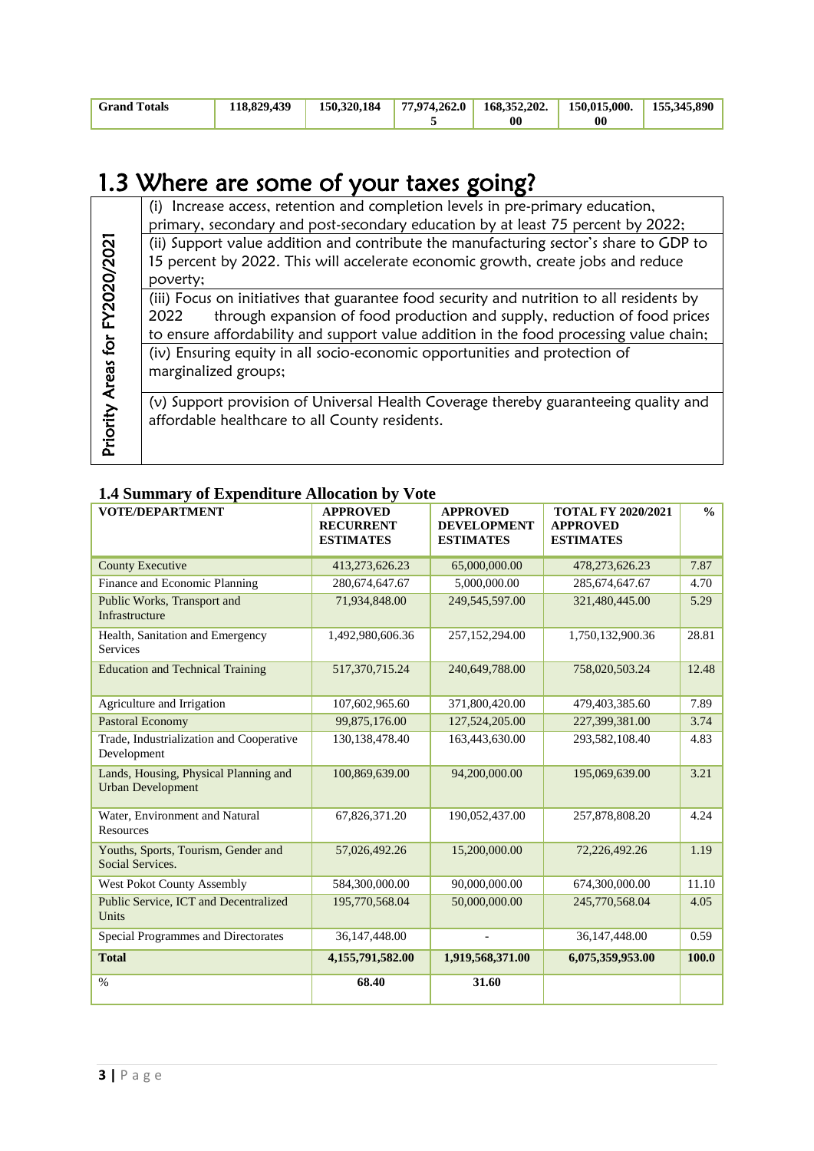| <b>Grand Totals</b> | 118,829,439 |  | $150,320,184$   $77,974,262,0$   $168,352,202$ .   $150,015,000$ .   $155,345,890$ |    |  |
|---------------------|-------------|--|------------------------------------------------------------------------------------|----|--|
|                     |             |  | 00                                                                                 | 00 |  |

# 1.3 Where are some of your taxes going?

|                                | (i) Increase access, retention and completion levels in pre-primary education,            |
|--------------------------------|-------------------------------------------------------------------------------------------|
|                                | primary, secondary and post-secondary education by at least 75 percent by 2022;           |
|                                | (ii) Support value addition and contribute the manufacturing sector's share to GDP to     |
|                                | 15 percent by 2022. This will accelerate economic growth, create jobs and reduce          |
|                                | poverty;                                                                                  |
|                                | (iii) Focus on initiatives that guarantee food security and nutrition to all residents by |
|                                | through expansion of food production and supply, reduction of food prices<br>2022         |
|                                | to ensure affordability and support value addition in the food processing value chain;    |
|                                | (iv) Ensuring equity in all socio-economic opportunities and protection of                |
|                                | marginalized groups;                                                                      |
| Priority Areas for FY2020/2021 |                                                                                           |
|                                | (v) Support provision of Universal Health Coverage thereby guaranteeing quality and       |
|                                | affordable healthcare to all County residents.                                            |
|                                |                                                                                           |
|                                |                                                                                           |

# **1.4 Summary of Expenditure Allocation by Vote**

| <b>VOTE/DEPARTMENT</b>                                            | <b>APPROVED</b><br><b>RECURRENT</b><br><b>ESTIMATES</b> | <b>APPROVED</b><br><b>DEVELOPMENT</b><br><b>ESTIMATES</b> | <b>TOTAL FY 2020/2021</b><br><b>APPROVED</b><br><b>ESTIMATES</b> | $\frac{0}{0}$ |
|-------------------------------------------------------------------|---------------------------------------------------------|-----------------------------------------------------------|------------------------------------------------------------------|---------------|
| <b>County Executive</b>                                           | 413,273,626.23                                          | 65,000,000.00                                             | 478,273,626.23                                                   | 7.87          |
| Finance and Economic Planning                                     | 280,674,647.67                                          | 5,000,000.00                                              | 285, 674, 647. 67                                                | 4.70          |
| Public Works, Transport and<br>Infrastructure                     | 71,934,848.00                                           | 249,545,597.00                                            | 321,480,445.00                                                   | 5.29          |
| Health, Sanitation and Emergency<br>Services                      | 1,492,980,606.36                                        | 257,152,294.00                                            | 1,750,132,900.36                                                 | 28.81         |
| <b>Education and Technical Training</b>                           | 517,370,715.24                                          | 240,649,788.00                                            | 758,020,503.24                                                   | 12.48         |
| Agriculture and Irrigation                                        | 107,602,965.60                                          | 371,800,420.00                                            | 479,403,385.60                                                   | 7.89          |
| <b>Pastoral Economy</b>                                           | 99,875,176.00                                           | 127,524,205.00                                            | 227,399,381.00                                                   | 3.74          |
| Trade, Industrialization and Cooperative<br>Development           | 130, 138, 478. 40                                       | 163,443,630.00                                            | 293,582,108.40                                                   | 4.83          |
| Lands, Housing, Physical Planning and<br><b>Urban Development</b> | 100,869,639.00                                          | 94,200,000.00                                             | 195,069,639.00                                                   | 3.21          |
| Water, Environment and Natural<br>Resources                       | 67,826,371.20                                           | 190,052,437.00                                            | 257,878,808.20                                                   | 4.24          |
| Youths, Sports, Tourism, Gender and<br>Social Services.           | 57,026,492.26                                           | 15,200,000.00                                             | 72,226,492.26                                                    | 1.19          |
| <b>West Pokot County Assembly</b>                                 | 584,300,000.00                                          | 90,000,000.00                                             | 674,300,000.00                                                   | 11.10         |
| Public Service, ICT and Decentralized<br>Units                    | 195,770,568.04                                          | 50,000,000.00                                             | 245,770,568.04                                                   | 4.05          |
| Special Programmes and Directorates                               | 36,147,448.00                                           |                                                           | 36,147,448.00                                                    | 0.59          |
| <b>Total</b>                                                      | 4,155,791,582.00                                        | 1,919,568,371.00                                          | 6,075,359,953.00                                                 | 100.0         |
| $\%$                                                              | 68.40                                                   | 31.60                                                     |                                                                  |               |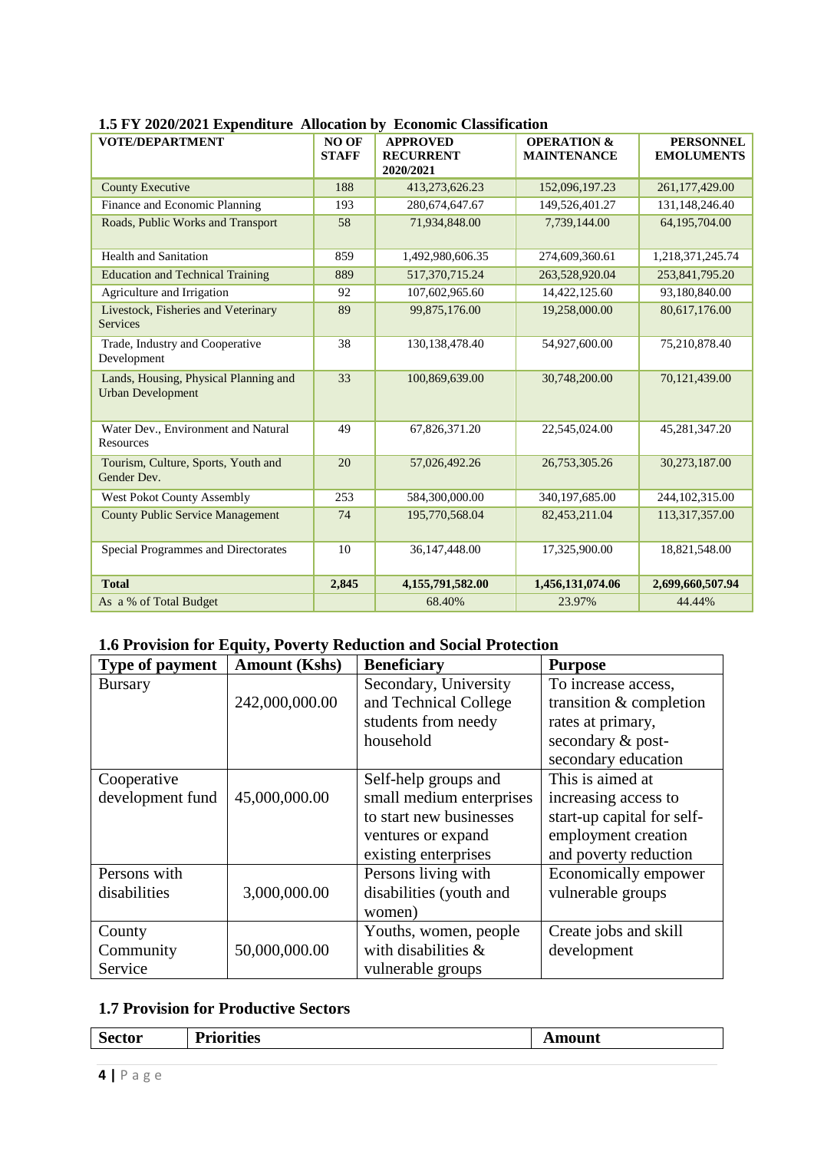|                                                                   |                              |                                                  | 1.3 F 1 $2020/2021$ Experience Anocation by<br>EUROMINU URASHIUAGUUH |                                       |  |  |  |  |  |
|-------------------------------------------------------------------|------------------------------|--------------------------------------------------|----------------------------------------------------------------------|---------------------------------------|--|--|--|--|--|
| <b>VOTE/DEPARTMENT</b>                                            | <b>NO OF</b><br><b>STAFF</b> | <b>APPROVED</b><br><b>RECURRENT</b><br>2020/2021 | <b>OPERATION &amp;</b><br><b>MAINTENANCE</b>                         | <b>PERSONNEL</b><br><b>EMOLUMENTS</b> |  |  |  |  |  |
| <b>County Executive</b>                                           | 188                          | 413,273,626.23                                   | 152,096,197.23                                                       | 261,177,429.00                        |  |  |  |  |  |
| Finance and Economic Planning                                     | 193                          | 280.674.647.67                                   | 149,526,401.27                                                       | 131,148,246.40                        |  |  |  |  |  |
| Roads, Public Works and Transport                                 | 58                           | 71,934,848.00                                    | 7,739,144.00                                                         | 64,195,704.00                         |  |  |  |  |  |
| <b>Health and Sanitation</b>                                      | 859                          | 1,492,980,606.35                                 | 274,609,360.61                                                       | 1,218,371,245.74                      |  |  |  |  |  |
| <b>Education and Technical Training</b>                           | 889                          | 517,370,715.24                                   | 263,528,920.04                                                       | 253,841,795.20                        |  |  |  |  |  |
| Agriculture and Irrigation                                        | 92                           | 107,602,965.60                                   | 14,422,125.60                                                        | 93,180,840.00                         |  |  |  |  |  |
| Livestock, Fisheries and Veterinary<br><b>Services</b>            | 89                           | 99,875,176.00                                    | 19,258,000.00                                                        | 80,617,176.00                         |  |  |  |  |  |
| Trade, Industry and Cooperative<br>Development                    | 38                           | 130,138,478.40                                   | 54,927,600.00                                                        | 75,210,878.40                         |  |  |  |  |  |
| Lands, Housing, Physical Planning and<br><b>Urban Development</b> | 33                           | 100,869,639.00                                   | 30,748,200.00                                                        | 70,121,439.00                         |  |  |  |  |  |
| Water Dev., Environment and Natural<br>Resources                  | 49                           | 67,826,371.20                                    | 22,545,024.00                                                        | 45,281,347.20                         |  |  |  |  |  |
| Tourism, Culture, Sports, Youth and<br>Gender Dev.                | 20                           | 57,026,492.26                                    | 26,753,305.26                                                        | 30,273,187.00                         |  |  |  |  |  |
| <b>West Pokot County Assembly</b>                                 | 253                          | 584,300,000.00                                   | 340,197,685.00                                                       | 244, 102, 315.00                      |  |  |  |  |  |
| <b>County Public Service Management</b>                           | 74                           | 195,770,568.04                                   | 82,453,211.04                                                        | 113,317,357.00                        |  |  |  |  |  |
| Special Programmes and Directorates                               | 10                           | 36,147,448.00                                    | 17,325,900.00                                                        | 18,821,548.00                         |  |  |  |  |  |
| <b>Total</b>                                                      | 2,845                        | 4,155,791,582.00                                 | 1,456,131,074.06                                                     | 2,699,660,507.94                      |  |  |  |  |  |
| As a % of Total Budget                                            |                              | 68.40%                                           | 23.97%                                                               | 44.44%                                |  |  |  |  |  |

#### **1.5 FY 2020/2021 Expenditure Allocation by Economic Classification**

# **1.6 Provision for Equity, Poverty Reduction and Social Protection**

| <b>Type of payment</b> | <b>Amount (Kshs)</b> | <b>Beneficiary</b>       | <b>Purpose</b>             |
|------------------------|----------------------|--------------------------|----------------------------|
| <b>Bursary</b>         |                      | Secondary, University    | To increase access,        |
|                        | 242,000,000.00       | and Technical College    | transition & completion    |
|                        |                      | students from needy      | rates at primary,          |
|                        |                      | household                | secondary & post-          |
|                        |                      |                          | secondary education        |
| Cooperative            |                      | Self-help groups and     | This is aimed at           |
| development fund       | 45,000,000.00        | small medium enterprises | increasing access to       |
|                        |                      | to start new businesses  | start-up capital for self- |
|                        |                      | ventures or expand       | employment creation        |
|                        |                      | existing enterprises     | and poverty reduction      |
| Persons with           |                      | Persons living with      | Economically empower       |
| disabilities           | 3,000,000.00         | disabilities (youth and  | vulnerable groups          |
|                        |                      | women)                   |                            |
| County                 |                      | Youths, women, people    | Create jobs and skill      |
| Community              | 50,000,000.00        | with disabilities $\&$   | development                |
| Service                |                      | vulnerable groups        |                            |

#### **1.7 Provision for Productive Sectors**

| $\tilde{\phantom{a}}$ | <b>Priorities</b> | Amount |
|-----------------------|-------------------|--------|
| /W                    | 1 LIVILUES        | ____   |
|                       |                   |        |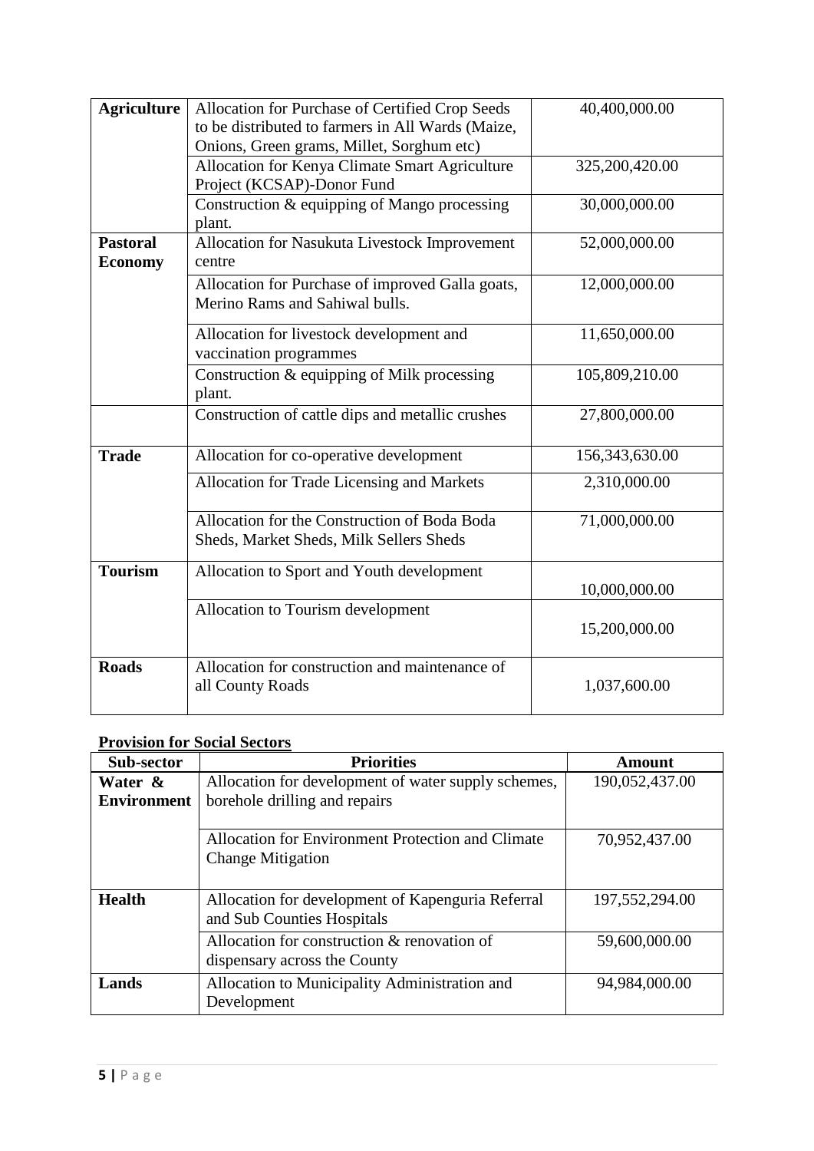| <b>Agriculture</b> | Allocation for Purchase of Certified Crop Seeds   | 40,400,000.00  |
|--------------------|---------------------------------------------------|----------------|
|                    | to be distributed to farmers in All Wards (Maize, |                |
|                    | Onions, Green grams, Millet, Sorghum etc)         |                |
|                    | Allocation for Kenya Climate Smart Agriculture    | 325,200,420.00 |
|                    | Project (KCSAP)-Donor Fund                        |                |
|                    | Construction & equipping of Mango processing      | 30,000,000.00  |
|                    | plant.                                            |                |
| <b>Pastoral</b>    | Allocation for Nasukuta Livestock Improvement     | 52,000,000.00  |
| <b>Economy</b>     | centre                                            |                |
|                    | Allocation for Purchase of improved Galla goats,  | 12,000,000.00  |
|                    | Merino Rams and Sahiwal bulls.                    |                |
|                    | Allocation for livestock development and          | 11,650,000.00  |
|                    | vaccination programmes                            |                |
|                    | Construction & equipping of Milk processing       | 105,809,210.00 |
|                    | plant.                                            |                |
|                    | Construction of cattle dips and metallic crushes  | 27,800,000.00  |
| <b>Trade</b>       | Allocation for co-operative development           | 156,343,630.00 |
|                    | Allocation for Trade Licensing and Markets        | 2,310,000.00   |
|                    |                                                   |                |
|                    | Allocation for the Construction of Boda Boda      | 71,000,000.00  |
|                    | Sheds, Market Sheds, Milk Sellers Sheds           |                |
| <b>Tourism</b>     | Allocation to Sport and Youth development         |                |
|                    |                                                   | 10,000,000.00  |
|                    | Allocation to Tourism development                 |                |
|                    |                                                   | 15,200,000.00  |
|                    |                                                   |                |
| <b>Roads</b>       | Allocation for construction and maintenance of    |                |
|                    | all County Roads                                  | 1,037,600.00   |
|                    |                                                   |                |

# **Provision for Social Sectors**

| Sub-sector         | <b>Priorities</b>                                   | Amount         |
|--------------------|-----------------------------------------------------|----------------|
| Water &            | Allocation for development of water supply schemes, | 190,052,437.00 |
| <b>Environment</b> | borehole drilling and repairs                       |                |
|                    |                                                     |                |
|                    | Allocation for Environment Protection and Climate   | 70,952,437.00  |
|                    | <b>Change Mitigation</b>                            |                |
|                    |                                                     |                |
| <b>Health</b>      | Allocation for development of Kapenguria Referral   | 197,552,294.00 |
|                    | and Sub Counties Hospitals                          |                |
|                    | Allocation for construction & renovation of         | 59,600,000.00  |
|                    | dispensary across the County                        |                |
| Lands              | Allocation to Municipality Administration and       | 94,984,000.00  |
|                    | Development                                         |                |